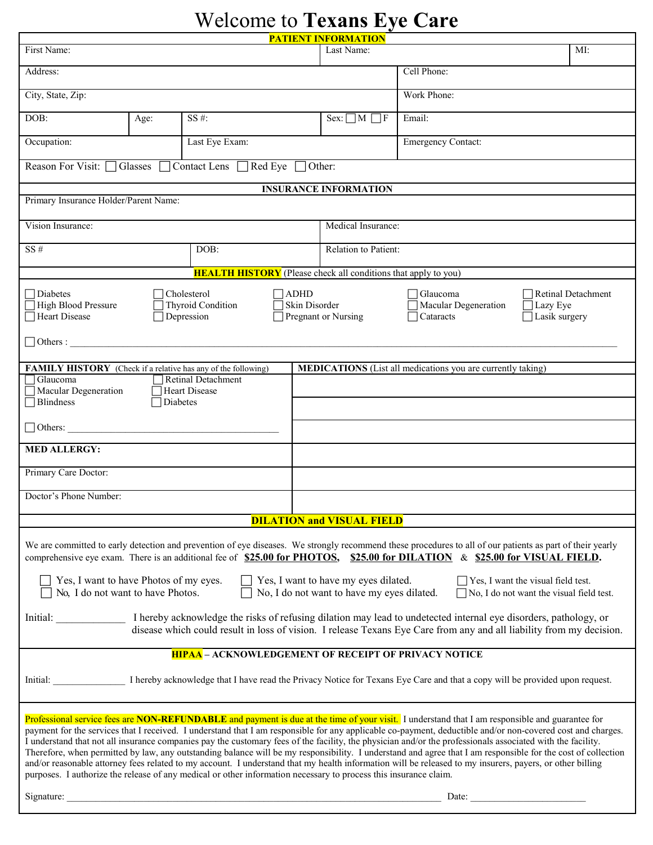# Welcome to **Texans Eye Care**

| <b>PATIENT INFORMATION</b>                                                                                                                                                                                                                                                                                                                                                                                                                                                                                                                                                                                                                                                                                                                                                                                                                                                                                                   |      |                                                       |                                 |                             |                                                                                                         |  |  |
|------------------------------------------------------------------------------------------------------------------------------------------------------------------------------------------------------------------------------------------------------------------------------------------------------------------------------------------------------------------------------------------------------------------------------------------------------------------------------------------------------------------------------------------------------------------------------------------------------------------------------------------------------------------------------------------------------------------------------------------------------------------------------------------------------------------------------------------------------------------------------------------------------------------------------|------|-------------------------------------------------------|---------------------------------|-----------------------------|---------------------------------------------------------------------------------------------------------|--|--|
| First Name:<br>Last Name:<br>MI:                                                                                                                                                                                                                                                                                                                                                                                                                                                                                                                                                                                                                                                                                                                                                                                                                                                                                             |      |                                                       |                                 |                             |                                                                                                         |  |  |
| Address:                                                                                                                                                                                                                                                                                                                                                                                                                                                                                                                                                                                                                                                                                                                                                                                                                                                                                                                     |      |                                                       |                                 |                             | Cell Phone:                                                                                             |  |  |
| City, State, Zip:                                                                                                                                                                                                                                                                                                                                                                                                                                                                                                                                                                                                                                                                                                                                                                                                                                                                                                            |      |                                                       |                                 |                             | Work Phone:                                                                                             |  |  |
| DOB:                                                                                                                                                                                                                                                                                                                                                                                                                                                                                                                                                                                                                                                                                                                                                                                                                                                                                                                         | Age: | SS #:                                                 |                                 | $Sex: \Box M \Box F$        | Email:                                                                                                  |  |  |
| Occupation:<br>Last Eye Exam:                                                                                                                                                                                                                                                                                                                                                                                                                                                                                                                                                                                                                                                                                                                                                                                                                                                                                                |      |                                                       |                                 |                             | Emergency Contact:                                                                                      |  |  |
| Reason For Visit:<br>Glasses<br>Contact Lens $\Box$<br>Red Eye<br>Other:                                                                                                                                                                                                                                                                                                                                                                                                                                                                                                                                                                                                                                                                                                                                                                                                                                                     |      |                                                       |                                 |                             |                                                                                                         |  |  |
| <b>INSURANCE INFORMATION</b>                                                                                                                                                                                                                                                                                                                                                                                                                                                                                                                                                                                                                                                                                                                                                                                                                                                                                                 |      |                                                       |                                 |                             |                                                                                                         |  |  |
| Primary Insurance Holder/Parent Name:                                                                                                                                                                                                                                                                                                                                                                                                                                                                                                                                                                                                                                                                                                                                                                                                                                                                                        |      |                                                       |                                 |                             |                                                                                                         |  |  |
| Vision Insurance:                                                                                                                                                                                                                                                                                                                                                                                                                                                                                                                                                                                                                                                                                                                                                                                                                                                                                                            |      |                                                       |                                 | Medical Insurance:          |                                                                                                         |  |  |
| $SS#$<br>DOB:                                                                                                                                                                                                                                                                                                                                                                                                                                                                                                                                                                                                                                                                                                                                                                                                                                                                                                                |      |                                                       |                                 | <b>Relation to Patient:</b> |                                                                                                         |  |  |
| <b>HEALTH HISTORY</b> (Please check all conditions that apply to you)                                                                                                                                                                                                                                                                                                                                                                                                                                                                                                                                                                                                                                                                                                                                                                                                                                                        |      |                                                       |                                 |                             |                                                                                                         |  |  |
| Diabetes<br>High Blood Pressure<br>Heart Disease<br>$\Box$ Others :                                                                                                                                                                                                                                                                                                                                                                                                                                                                                                                                                                                                                                                                                                                                                                                                                                                          |      | Cholesterol<br><b>Thyroid Condition</b><br>Depression | $\exists$ ADHD<br>Skin Disorder | Pregnant or Nursing         | Retinal Detachment<br>Glaucoma<br>Macular Degeneration<br>$\Box$ Lazy Eye<br>Cataracts<br>Lasik surgery |  |  |
|                                                                                                                                                                                                                                                                                                                                                                                                                                                                                                                                                                                                                                                                                                                                                                                                                                                                                                                              |      |                                                       |                                 |                             |                                                                                                         |  |  |
| FAMILY HISTORY (Check if a relative has any of the following)<br><b>MEDICATIONS</b> (List all medications you are currently taking)                                                                                                                                                                                                                                                                                                                                                                                                                                                                                                                                                                                                                                                                                                                                                                                          |      |                                                       |                                 |                             |                                                                                                         |  |  |
| Glaucoma<br><b>Retinal Detachment</b><br>Macular Degeneration<br><b>Heart Disease</b>                                                                                                                                                                                                                                                                                                                                                                                                                                                                                                                                                                                                                                                                                                                                                                                                                                        |      |                                                       |                                 |                             |                                                                                                         |  |  |
| <b>Blindness</b><br>Diabetes                                                                                                                                                                                                                                                                                                                                                                                                                                                                                                                                                                                                                                                                                                                                                                                                                                                                                                 |      |                                                       |                                 |                             |                                                                                                         |  |  |
| $\Box$ Others:                                                                                                                                                                                                                                                                                                                                                                                                                                                                                                                                                                                                                                                                                                                                                                                                                                                                                                               |      |                                                       |                                 |                             |                                                                                                         |  |  |
| <b>MED ALLERGY:</b>                                                                                                                                                                                                                                                                                                                                                                                                                                                                                                                                                                                                                                                                                                                                                                                                                                                                                                          |      |                                                       |                                 |                             |                                                                                                         |  |  |
| Primary Care Doctor:                                                                                                                                                                                                                                                                                                                                                                                                                                                                                                                                                                                                                                                                                                                                                                                                                                                                                                         |      |                                                       |                                 |                             |                                                                                                         |  |  |
| Doctor's Phone Number:                                                                                                                                                                                                                                                                                                                                                                                                                                                                                                                                                                                                                                                                                                                                                                                                                                                                                                       |      |                                                       |                                 |                             |                                                                                                         |  |  |
| <b>DILATION and VISUAL FIELD</b>                                                                                                                                                                                                                                                                                                                                                                                                                                                                                                                                                                                                                                                                                                                                                                                                                                                                                             |      |                                                       |                                 |                             |                                                                                                         |  |  |
| We are committed to early detection and prevention of eye diseases. We strongly recommend these procedures to all of our patients as part of their yearly<br>comprehensive eye exam. There is an additional fee of \$25.00 for PHOTOS, \$25.00 for DILATION & \$25.00 for VISUAL FIELD.                                                                                                                                                                                                                                                                                                                                                                                                                                                                                                                                                                                                                                      |      |                                                       |                                 |                             |                                                                                                         |  |  |
| Yes, I want to have Photos of my eyes.<br>$\Box$ Yes, I want to have my eyes dilated.<br>$\Box$ Yes, I want the visual field test.<br>No, I do not want to have my eyes dilated.<br>No, I do not want to have Photos.<br>$\Box$ No, I do not want the visual field test.                                                                                                                                                                                                                                                                                                                                                                                                                                                                                                                                                                                                                                                     |      |                                                       |                                 |                             |                                                                                                         |  |  |
| Initial:<br>I hereby acknowledge the risks of refusing dilation may lead to undetected internal eye disorders, pathology, or<br>disease which could result in loss of vision. I release Texans Eye Care from any and all liability from my decision.                                                                                                                                                                                                                                                                                                                                                                                                                                                                                                                                                                                                                                                                         |      |                                                       |                                 |                             |                                                                                                         |  |  |
| <b>HIPAA - ACKNOWLEDGEMENT OF RECEIPT OF PRIVACY NOTICE</b>                                                                                                                                                                                                                                                                                                                                                                                                                                                                                                                                                                                                                                                                                                                                                                                                                                                                  |      |                                                       |                                 |                             |                                                                                                         |  |  |
| I hereby acknowledge that I have read the Privacy Notice for Texans Eye Care and that a copy will be provided upon request.<br>Initial:                                                                                                                                                                                                                                                                                                                                                                                                                                                                                                                                                                                                                                                                                                                                                                                      |      |                                                       |                                 |                             |                                                                                                         |  |  |
| Professional service fees are NON-REFUNDABLE and payment is due at the time of your visit. I understand that I am responsible and guarantee for<br>payment for the services that I received. I understand that I am responsible for any applicable co-payment, deductible and/or non-covered cost and charges.<br>I understand that not all insurance companies pay the customary fees of the facility, the physician and/or the professionals associated with the facility.<br>Therefore, when permitted by law, any outstanding balance will be my responsibility. I understand and agree that I am responsible for the cost of collection<br>and/or reasonable attorney fees related to my account. I understand that my health information will be released to my insurers, payers, or other billing<br>purposes. I authorize the release of any medical or other information necessary to process this insurance claim. |      |                                                       |                                 |                             |                                                                                                         |  |  |
| Signature:                                                                                                                                                                                                                                                                                                                                                                                                                                                                                                                                                                                                                                                                                                                                                                                                                                                                                                                   |      |                                                       |                                 |                             | Date:                                                                                                   |  |  |